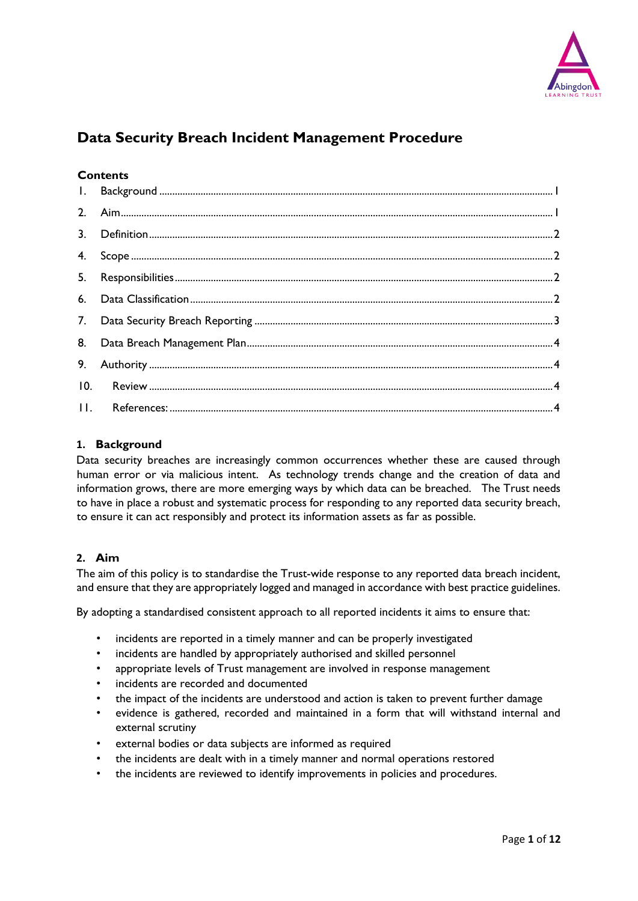

# **Data Security Breach Incident Management Procedure**

## **Contents**

| 10. |  |
|-----|--|
|     |  |

## <span id="page-0-0"></span>**1. Background**

Data security breaches are increasingly common occurrences whether these are caused through human error or via malicious intent. As technology trends change and the creation of data and information grows, there are more emerging ways by which data can be breached. The Trust needs to have in place a robust and systematic process for responding to any reported data security breach, to ensure it can act responsibly and protect its information assets as far as possible.

## <span id="page-0-1"></span>**2. Aim**

The aim of this policy is to standardise the Trust-wide response to any reported data breach incident, and ensure that they are appropriately logged and managed in accordance with best practice guidelines.

By adopting a standardised consistent approach to all reported incidents it aims to ensure that:

- incidents are reported in a timely manner and can be properly investigated
- incidents are handled by appropriately authorised and skilled personnel
- appropriate levels of Trust management are involved in response management
- incidents are recorded and documented
- the impact of the incidents are understood and action is taken to prevent further damage
- evidence is gathered, recorded and maintained in a form that will withstand internal and external scrutiny
- external bodies or data subjects are informed as required
- the incidents are dealt with in a timely manner and normal operations restored
- the incidents are reviewed to identify improvements in policies and procedures.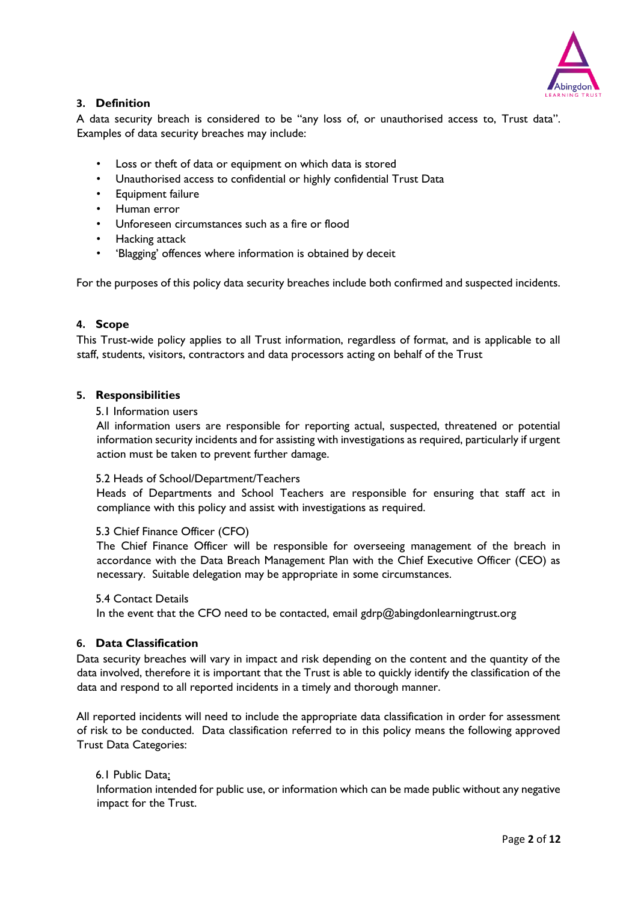

## <span id="page-1-0"></span>**3. Definition**

A data security breach is considered to be "any loss of, or unauthorised access to, Trust data". Examples of data security breaches may include:

- Loss or theft of data or equipment on which data is stored
- Unauthorised access to confidential or highly confidential Trust Data
- Equipment failure
- Human error
- Unforeseen circumstances such as a fire or flood
- Hacking attack
- 'Blagging' offences where information is obtained by deceit

For the purposes of this policy data security breaches include both confirmed and suspected incidents.

### <span id="page-1-1"></span>**4. Scope**

This Trust-wide policy applies to all Trust information, regardless of format, and is applicable to all staff, students, visitors, contractors and data processors acting on behalf of the Trust

#### <span id="page-1-2"></span>**5. Responsibilities**

#### 5.1 Information users

All information users are responsible for reporting actual, suspected, threatened or potential information security incidents and for assisting with investigations as required, particularly if urgent action must be taken to prevent further damage.

### 5.2 Heads of School/Department/Teachers

Heads of Departments and School Teachers are responsible for ensuring that staff act in compliance with this policy and assist with investigations as required.

### 5.3 Chief Finance Officer (CFO)

The Chief Finance Officer will be responsible for overseeing management of the breach in accordance with the Data Breach Management Plan with the Chief Executive Officer (CEO) as necessary. Suitable delegation may be appropriate in some circumstances.

#### 5.4 Contact Details

In the event that the CFO need to be contacted, email  $gdrp@abingdonlearningtrust.org$ 

### <span id="page-1-3"></span>**6. Data Classification**

Data security breaches will vary in impact and risk depending on the content and the quantity of the data involved, therefore it is important that the Trust is able to quickly identify the classification of the data and respond to all reported incidents in a timely and thorough manner.

All reported incidents will need to include the appropriate data classification in order for assessment of risk to be conducted. Data classification referred to in this policy means the following approved Trust Data Categories:

#### 6.1 Public Data:

Information intended for public use, or information which can be made public without any negative impact for the Trust.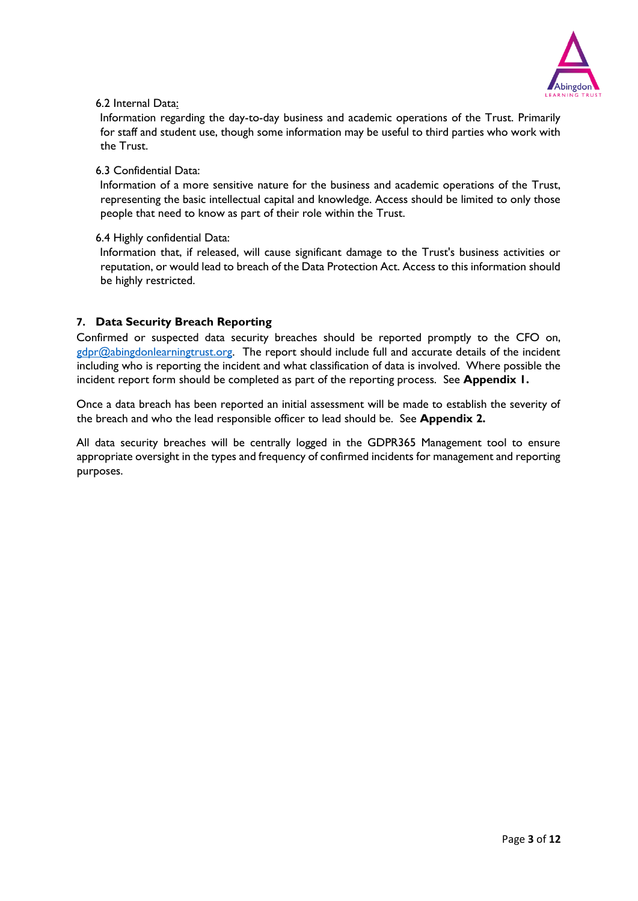

## 6.2 Internal Data:

Information regarding the day-to-day business and academic operations of the Trust. Primarily for staff and student use, though some information may be useful to third parties who work with the Trust.

## 6.3 Confidential Data:

Information of a more sensitive nature for the business and academic operations of the Trust, representing the basic intellectual capital and knowledge. Access should be limited to only those people that need to know as part of their role within the Trust.

## 6.4 Highly confidential Data:

Information that, if released, will cause significant damage to the Trust's business activities or reputation, or would lead to breach of the Data Protection Act. Access to this information should be highly restricted.

## <span id="page-2-0"></span>**7. Data Security Breach Reporting**

Confirmed or suspected data security breaches should be reported promptly to the CFO on,  $gdpr@abingdonlearning trust.org.$  The report should include full and accurate details of the incident including who is reporting the incident and what classification of data is involved. Where possible the incident report form should be completed as part of the reporting process. See **Appendix 1.** 

Once a data breach has been reported an initial assessment will be made to establish the severity of the breach and who the lead responsible officer to lead should be. See **Appendix 2.** 

All data security breaches will be centrally logged in the GDPR365 Management tool to ensure appropriate oversight in the types and frequency of confirmed incidents for management and reporting purposes.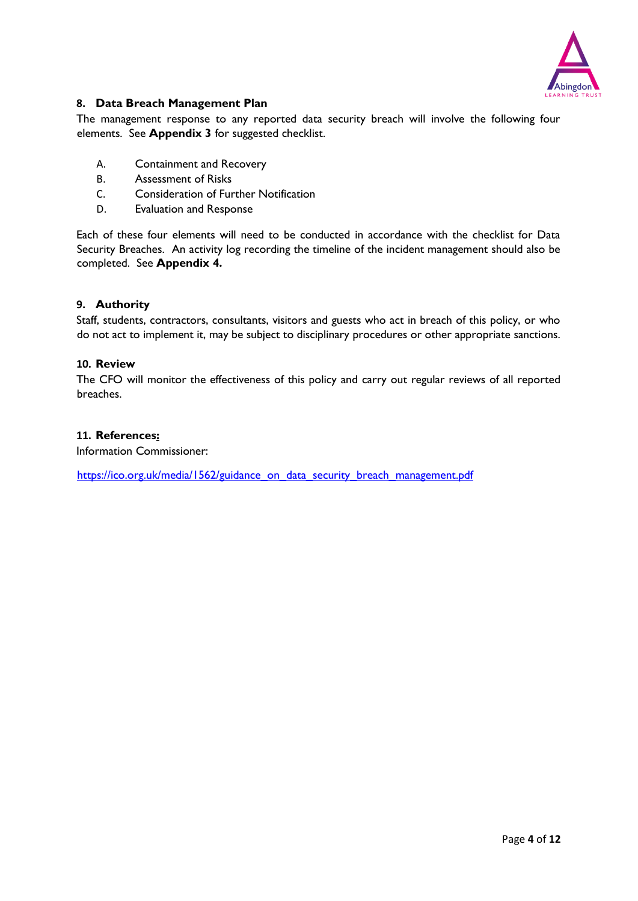

## <span id="page-3-0"></span>**8. Data Breach Management Plan**

The management response to any reported data security breach will involve the following four elements. See **Appendix 3** for suggested checklist.

- A. Containment and Recovery
- B. Assessment of Risks
- C. Consideration of Further Notification
- D. Evaluation and Response

Each of these four elements will need to be conducted in accordance with the checklist for Data Security Breaches. An activity log recording the timeline of the incident management should also be completed. See **Appendix 4.**

### <span id="page-3-1"></span>**9. Authority**

Staff, students, contractors, consultants, visitors and guests who act in breach of this policy, or who do not act to implement it, may be subject to disciplinary procedures or other appropriate sanctions.

## <span id="page-3-2"></span>**10. Review**

The CFO will monitor the effectiveness of this policy and carry out regular reviews of all reported breaches.

#### <span id="page-3-3"></span>**11. References:**

Information Commissioner:

[https://ico.org.uk/media/1562/guidance\\_on\\_data\\_security\\_breach\\_management.pdf](https://ico.org.uk/media/1562/guidance_on_data_security_breach_management.pdf)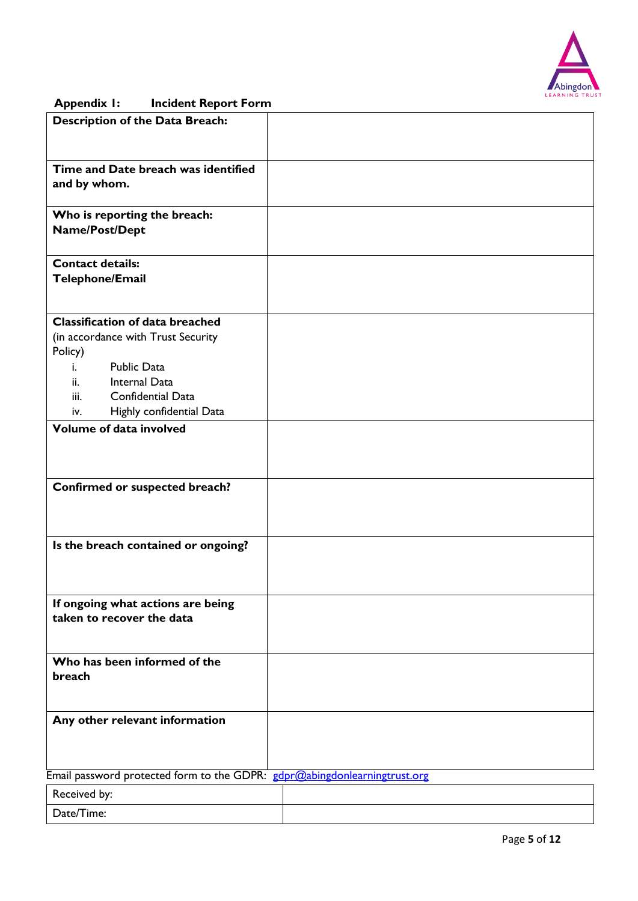

## **Appendix 1: Incident Report Form**

| <b>Description of the Data Breach:</b>                                    |  |
|---------------------------------------------------------------------------|--|
|                                                                           |  |
|                                                                           |  |
| Time and Date breach was identified<br>and by whom.                       |  |
|                                                                           |  |
| Who is reporting the breach:                                              |  |
| Name/Post/Dept                                                            |  |
|                                                                           |  |
| <b>Contact details:</b><br><b>Telephone/Email</b>                         |  |
|                                                                           |  |
|                                                                           |  |
| <b>Classification of data breached</b>                                    |  |
| (in accordance with Trust Security<br>Policy)                             |  |
| <b>Public Data</b><br>i.                                                  |  |
| Internal Data<br>ii.                                                      |  |
| Confidential Data<br>iii.                                                 |  |
| Highly confidential Data<br>IV.                                           |  |
| Volume of data involved                                                   |  |
|                                                                           |  |
|                                                                           |  |
| Confirmed or suspected breach?                                            |  |
|                                                                           |  |
|                                                                           |  |
| Is the breach contained or ongoing?                                       |  |
|                                                                           |  |
|                                                                           |  |
|                                                                           |  |
| If ongoing what actions are being<br>taken to recover the data            |  |
|                                                                           |  |
|                                                                           |  |
| Who has been informed of the                                              |  |
| breach                                                                    |  |
|                                                                           |  |
| Any other relevant information                                            |  |
|                                                                           |  |
|                                                                           |  |
| Email password protected form to the GDPR: gdpr@abingdonlearningtrust.org |  |
| Received by:                                                              |  |
| Date/Time:                                                                |  |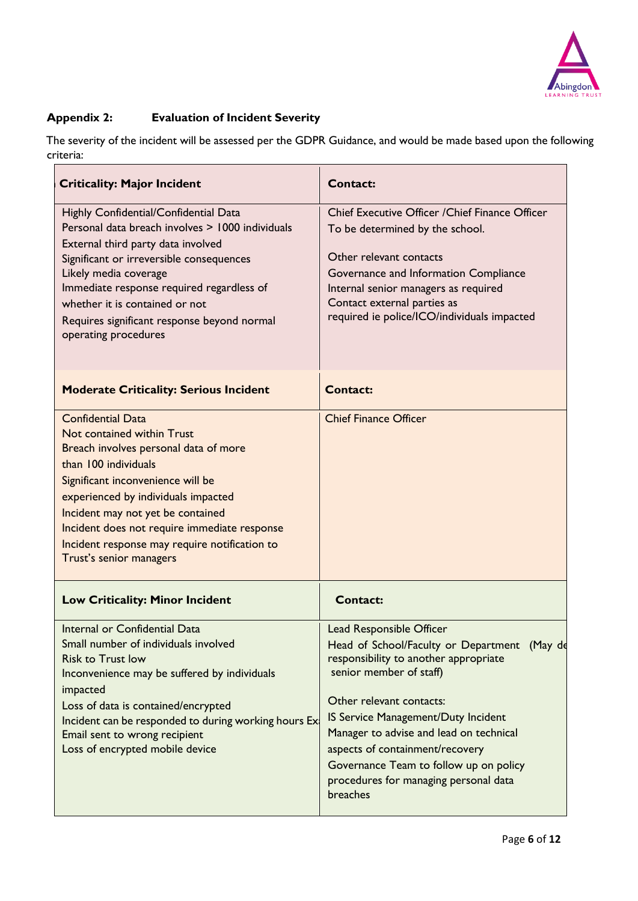

## **Appendix 2: Evaluation of Incident Severity**

The severity of the incident will be assessed per the GDPR Guidance, and would be made based upon the following criteria:

| <b>Criticality: Major Incident</b>                                                                                                                                                                                                                                                                                                                                   | <b>Contact:</b>                                                                                                                                                                                                                                                                                                                                                                              |
|----------------------------------------------------------------------------------------------------------------------------------------------------------------------------------------------------------------------------------------------------------------------------------------------------------------------------------------------------------------------|----------------------------------------------------------------------------------------------------------------------------------------------------------------------------------------------------------------------------------------------------------------------------------------------------------------------------------------------------------------------------------------------|
| Highly Confidential/Confidential Data<br>Personal data breach involves > 1000 individuals<br>External third party data involved<br>Significant or irreversible consequences<br>Likely media coverage<br>Immediate response required regardless of<br>whether it is contained or not<br>Requires significant response beyond normal<br>operating procedures           | Chief Executive Officer / Chief Finance Officer<br>To be determined by the school.<br>Other relevant contacts<br>Governance and Information Compliance<br>Internal senior managers as required<br>Contact external parties as<br>required ie police/ICO/individuals impacted                                                                                                                 |
| <b>Moderate Criticality: Serious Incident</b>                                                                                                                                                                                                                                                                                                                        | <b>Contact:</b>                                                                                                                                                                                                                                                                                                                                                                              |
| <b>Confidential Data</b><br>Not contained within Trust<br>Breach involves personal data of more<br>than 100 individuals<br>Significant inconvenience will be<br>experienced by individuals impacted<br>Incident may not yet be contained<br>Incident does not require immediate response<br>Incident response may require notification to<br>Trust's senior managers | <b>Chief Finance Officer</b>                                                                                                                                                                                                                                                                                                                                                                 |
| <b>Low Criticality: Minor Incident</b>                                                                                                                                                                                                                                                                                                                               | <b>Contact:</b>                                                                                                                                                                                                                                                                                                                                                                              |
| Internal or Confidential Data<br>Small number of individuals involved<br><b>Risk to Trust low</b><br>Inconvenience may be suffered by individuals<br>impacted<br>Loss of data is contained/encrypted<br>Incident can be responded to during working hours Ex<br>Email sent to wrong recipient<br>Loss of encrypted mobile device                                     | Lead Responsible Officer<br>Head of School/Faculty or Department (May de<br>responsibility to another appropriate<br>senior member of staff)<br>Other relevant contacts:<br>IS Service Management/Duty Incident<br>Manager to advise and lead on technical<br>aspects of containment/recovery<br>Governance Team to follow up on policy<br>procedures for managing personal data<br>breaches |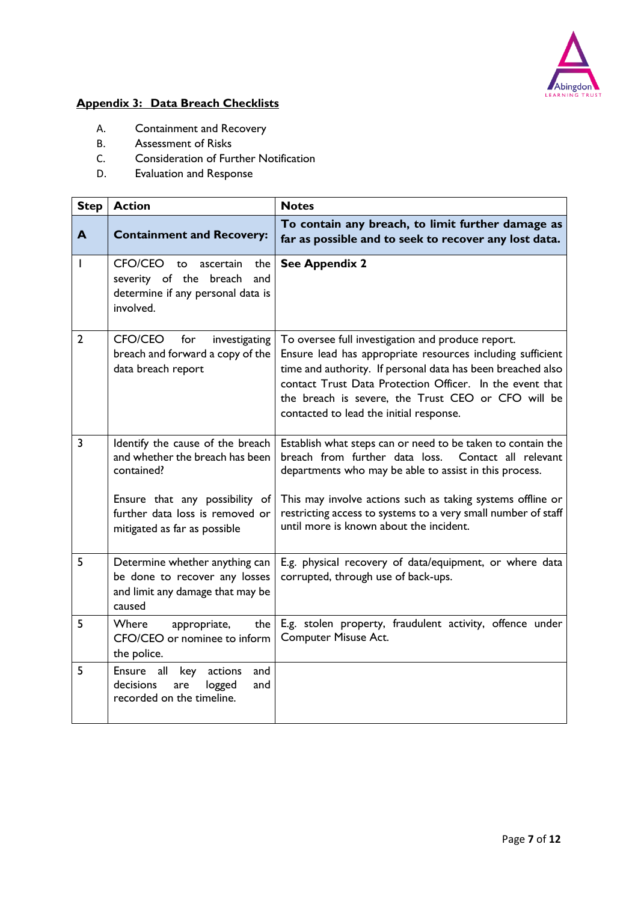

# **Appendix 3: Data Breach Checklists**

- A. Containment and Recovery
- B. Assessment of Risks
- C. Consideration of Further Notification<br>D. Evaluation and Response
- Evaluation and Response

| <b>Step</b>    | <b>Action</b>                                                                                                                                                                          | <b>Notes</b>                                                                                                                                                                                                                                                                                                                                           |  |
|----------------|----------------------------------------------------------------------------------------------------------------------------------------------------------------------------------------|--------------------------------------------------------------------------------------------------------------------------------------------------------------------------------------------------------------------------------------------------------------------------------------------------------------------------------------------------------|--|
| A              | <b>Containment and Recovery:</b>                                                                                                                                                       | To contain any breach, to limit further damage as<br>far as possible and to seek to recover any lost data.                                                                                                                                                                                                                                             |  |
| L              | CFO/CEO to<br>ascertain<br>the<br>severity of the breach<br>and<br>determine if any personal data is<br>involved.                                                                      | <b>See Appendix 2</b>                                                                                                                                                                                                                                                                                                                                  |  |
| $\overline{2}$ | <b>CFO/CEO</b><br>for<br>investigating<br>breach and forward a copy of the<br>data breach report                                                                                       | To oversee full investigation and produce report.<br>Ensure lead has appropriate resources including sufficient<br>time and authority. If personal data has been breached also<br>contact Trust Data Protection Officer. In the event that<br>the breach is severe, the Trust CEO or CFO will be<br>contacted to lead the initial response.            |  |
| $\overline{3}$ | Identify the cause of the breach<br>and whether the breach has been<br>contained?<br>Ensure that any possibility of<br>further data loss is removed or<br>mitigated as far as possible | Establish what steps can or need to be taken to contain the<br>breach from further data loss. Contact all relevant<br>departments who may be able to assist in this process.<br>This may involve actions such as taking systems offline or<br>restricting access to systems to a very small number of staff<br>until more is known about the incident. |  |
| 5              | Determine whether anything can<br>be done to recover any losses<br>and limit any damage that may be<br>caused                                                                          | E.g. physical recovery of data/equipment, or where data<br>corrupted, through use of back-ups.                                                                                                                                                                                                                                                         |  |
| 5              | <b>Where</b><br>appropriate,<br>the l<br>CFO/CEO or nominee to inform<br>the police.                                                                                                   | E.g. stolen property, fraudulent activity, offence under<br><b>Computer Misuse Act.</b>                                                                                                                                                                                                                                                                |  |
| 5              | <b>Ensure</b><br>all<br>key<br>actions<br>and<br>decisions<br>logged<br>are<br>and<br>recorded on the timeline.                                                                        |                                                                                                                                                                                                                                                                                                                                                        |  |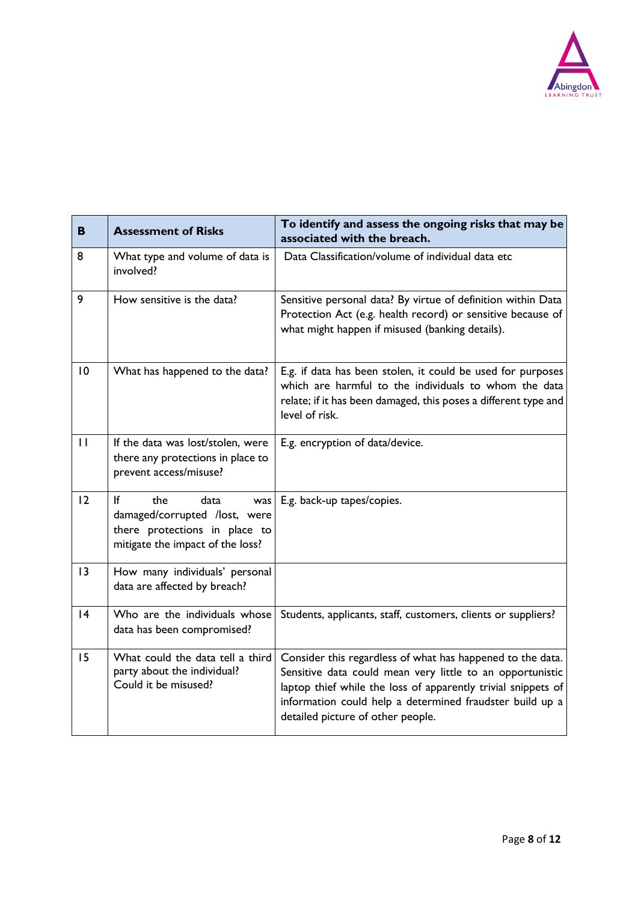

| B            | <b>Assessment of Risks</b>                                                                                                     | To identify and assess the ongoing risks that may be<br>associated with the breach.                                                                                                                                                                                                       |
|--------------|--------------------------------------------------------------------------------------------------------------------------------|-------------------------------------------------------------------------------------------------------------------------------------------------------------------------------------------------------------------------------------------------------------------------------------------|
| 8            | What type and volume of data is<br>involved?                                                                                   | Data Classification/volume of individual data etc                                                                                                                                                                                                                                         |
| 9            | How sensitive is the data?                                                                                                     | Sensitive personal data? By virtue of definition within Data<br>Protection Act (e.g. health record) or sensitive because of<br>what might happen if misused (banking details).                                                                                                            |
| 10           | What has happened to the data?                                                                                                 | E.g. if data has been stolen, it could be used for purposes<br>which are harmful to the individuals to whom the data<br>relate; if it has been damaged, this poses a different type and<br>level of risk.                                                                                 |
| $\mathbf{H}$ | If the data was lost/stolen, were<br>there any protections in place to<br>prevent access/misuse?                               | E.g. encryption of data/device.                                                                                                                                                                                                                                                           |
| 12           | lf<br>the<br>data<br>was<br>damaged/corrupted /lost, were<br>there protections in place to<br>mitigate the impact of the loss? | E.g. back-up tapes/copies.                                                                                                                                                                                                                                                                |
| 3            | How many individuals' personal<br>data are affected by breach?                                                                 |                                                                                                                                                                                                                                                                                           |
| 4            | Who are the individuals whose<br>data has been compromised?                                                                    | Students, applicants, staff, customers, clients or suppliers?                                                                                                                                                                                                                             |
| 15           | What could the data tell a third<br>party about the individual?<br>Could it be misused?                                        | Consider this regardless of what has happened to the data.<br>Sensitive data could mean very little to an opportunistic<br>laptop thief while the loss of apparently trivial snippets of<br>information could help a determined fraudster build up a<br>detailed picture of other people. |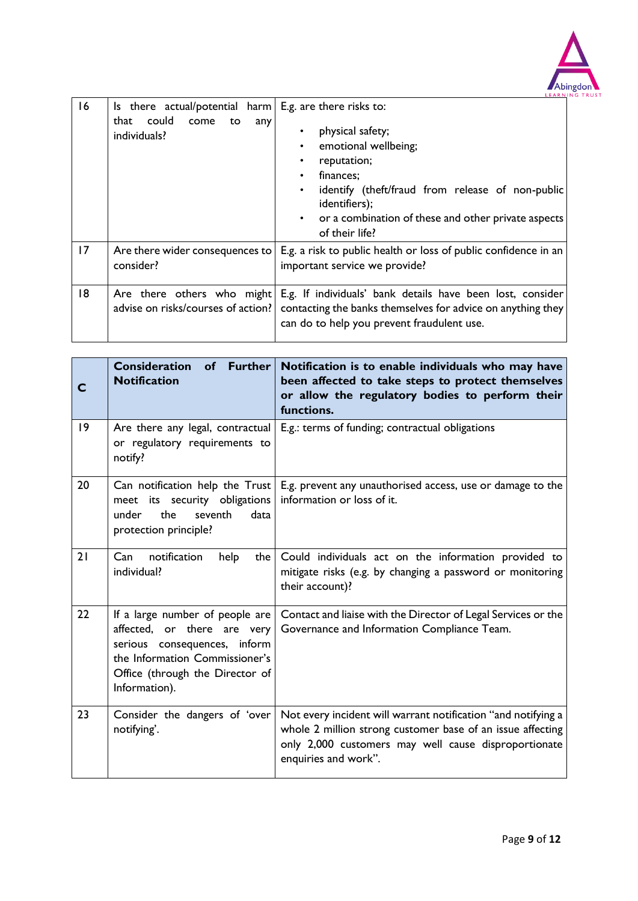

| 16 | Is there actual/potential harm $\mid$ E.g. are there risks to:<br>could<br>come<br>that<br>to<br>any | LEARN<br>physical safety;                                                                                                                                                                                      |
|----|------------------------------------------------------------------------------------------------------|----------------------------------------------------------------------------------------------------------------------------------------------------------------------------------------------------------------|
|    | individuals?                                                                                         | emotional wellbeing;<br>reputation;<br>finances;<br>$\bullet$<br>identify (theft/fraud from release of non-public<br>identifiers);<br>or a combination of these and other private aspects<br>of their life?    |
| 17 | Are there wider consequences to<br>consider?                                                         | E.g. a risk to public health or loss of public confidence in an<br>important service we provide?                                                                                                               |
| 18 | Are there others who might                                                                           | E.g. If individuals' bank details have been lost, consider<br>advise on risks/courses of action?   contacting the banks themselves for advice on anything they  <br>can do to help you prevent fraudulent use. |

|    | Further<br><b>Consideration</b><br>of<br><b>Notification</b>                                                                                                                             | Notification is to enable individuals who may have<br>been affected to take steps to protect themselves<br>or allow the regulatory bodies to perform their<br>functions.                                    |
|----|------------------------------------------------------------------------------------------------------------------------------------------------------------------------------------------|-------------------------------------------------------------------------------------------------------------------------------------------------------------------------------------------------------------|
| 9  | Are there any legal, contractual<br>or regulatory requirements to<br>notify?                                                                                                             | E.g.: terms of funding; contractual obligations                                                                                                                                                             |
| 20 | Can notification help the Trust<br>meet its security obligations<br>the<br>seventh<br>data<br>under<br>protection principle?                                                             | E.g. prevent any unauthorised access, use or damage to the<br>information or loss of it.                                                                                                                    |
| 21 | notification<br>Can<br>help<br>the $ $<br>individual?                                                                                                                                    | Could individuals act on the information provided to<br>mitigate risks (e.g. by changing a password or monitoring<br>their account)?                                                                        |
| 22 | If a large number of people are $ $<br>affected, or there are very<br>serious consequences, inform<br>the Information Commissioner's<br>Office (through the Director of<br>Information). | Contact and liaise with the Director of Legal Services or the<br>Governance and Information Compliance Team.                                                                                                |
| 23 | Consider the dangers of 'over<br>notifying'.                                                                                                                                             | Not every incident will warrant notification "and notifying a<br>whole 2 million strong customer base of an issue affecting<br>only 2,000 customers may well cause disproportionate<br>enquiries and work". |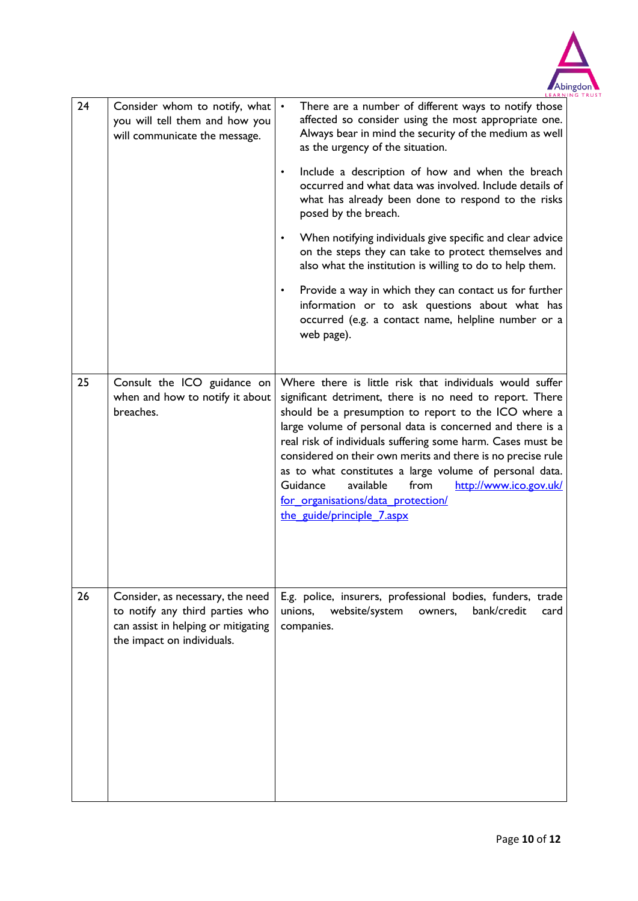

| 24 | Consider whom to notify, what<br>you will tell them and how you<br>will communicate the message.                                         | There are a number of different ways to notify those<br>affected so consider using the most appropriate one.<br>Always bear in mind the security of the medium as well<br>as the urgency of the situation.<br>Include a description of how and when the breach<br>$\bullet$<br>occurred and what data was involved. Include details of<br>what has already been done to respond to the risks<br>posed by the breach.<br>When notifying individuals give specific and clear advice<br>$\bullet$<br>on the steps they can take to protect themselves and<br>also what the institution is willing to do to help them.<br>Provide a way in which they can contact us for further<br>$\bullet$<br>information or to ask questions about what has<br>occurred (e.g. a contact name, helpline number or a<br>web page). |
|----|------------------------------------------------------------------------------------------------------------------------------------------|------------------------------------------------------------------------------------------------------------------------------------------------------------------------------------------------------------------------------------------------------------------------------------------------------------------------------------------------------------------------------------------------------------------------------------------------------------------------------------------------------------------------------------------------------------------------------------------------------------------------------------------------------------------------------------------------------------------------------------------------------------------------------------------------------------------|
| 25 | Consult the ICO guidance on<br>when and how to notify it about<br>breaches.                                                              | Where there is little risk that individuals would suffer<br>significant detriment, there is no need to report. There<br>should be a presumption to report to the ICO where a<br>large volume of personal data is concerned and there is a<br>real risk of individuals suffering some harm. Cases must be<br>considered on their own merits and there is no precise rule<br>as to what constitutes a large volume of personal data.<br>Guidance<br>available<br>from<br>http://www.ico.gov.uk/<br>for organisations/data protection/<br>the guide/principle 7.aspx                                                                                                                                                                                                                                                |
| 26 | Consider, as necessary, the need<br>to notify any third parties who<br>can assist in helping or mitigating<br>the impact on individuals. | E.g. police, insurers, professional bodies, funders, trade<br>website/system<br>unions,<br>owners,<br>bank/credit<br>card<br>companies.                                                                                                                                                                                                                                                                                                                                                                                                                                                                                                                                                                                                                                                                          |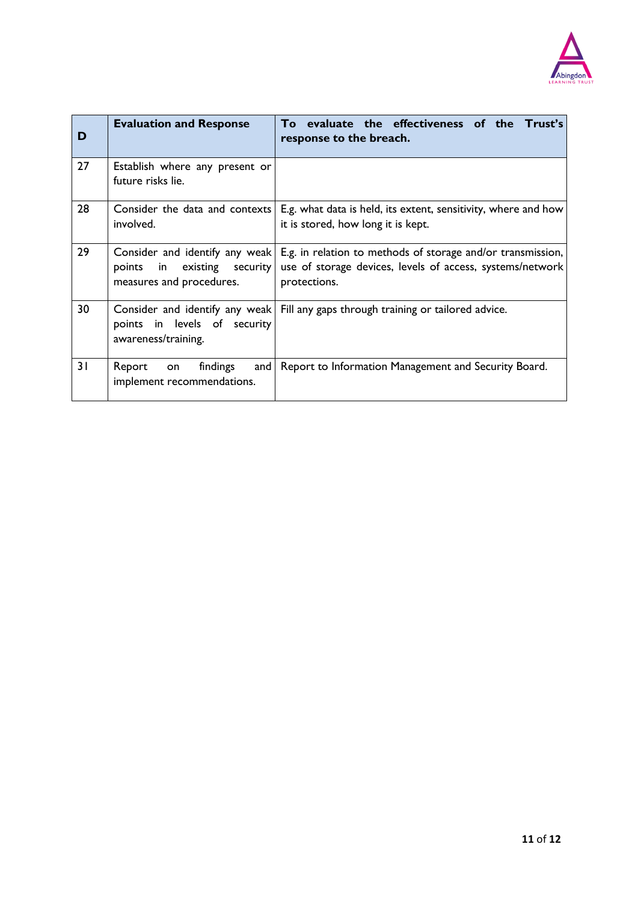

| D  | <b>Evaluation and Response</b>                                                               | To evaluate the effectiveness of the Trust's<br>response to the breach.                                                                  |
|----|----------------------------------------------------------------------------------------------|------------------------------------------------------------------------------------------------------------------------------------------|
| 27 | Establish where any present or<br>future risks lie.                                          |                                                                                                                                          |
| 28 | Consider the data and contexts<br>involved.                                                  | E.g. what data is held, its extent, sensitivity, where and how<br>it is stored, how long it is kept.                                     |
| 29 | Consider and identify any weak<br>in existing security<br>points<br>measures and procedures. | E.g. in relation to methods of storage and/or transmission,<br>use of storage devices, levels of access, systems/network<br>protections. |
| 30 | Consider and identify any weak<br>points in levels of security<br>awareness/training.        | Fill any gaps through training or tailored advice.                                                                                       |
| 31 | Report<br>findings<br>and I<br>on<br>implement recommendations.                              | Report to Information Management and Security Board.                                                                                     |